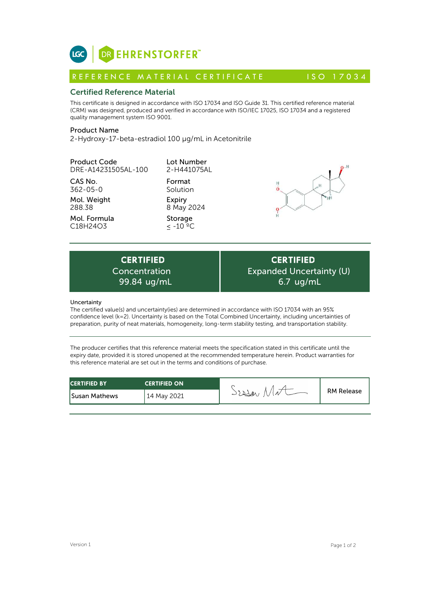

# Certified Reference Material

This certificate is designed in accordance with ISO 17034 and ISO Guide 31. This certified reference material (CRM) was designed, produced and verified in accordance with ISO/IEC 17025, ISO 17034 and a registered quality management system ISO 9001. **ICC**<br> **REFERENCE MATERIAL CERTIFICATE**<br> **REFERENCE MATERIAL CERTIFICATE** ISO 17034<br> **Certified Reference Material**<br>
CFIM) was designed, produced and verified in accordance with ISO 17034 and ISO Guide 31. This certified r

# Product Name

2-Hydroxy-17-beta-estradiol 100 µg/mL in Acetonitrile

| <b>CERTIFIED</b><br>Concentration<br>99.84 ug/mL<br>Uncertainty | Expan                     |  |
|-----------------------------------------------------------------|---------------------------|--|
| C18H24O3                                                        | $< -10 °C$                |  |
| Mol. Formula                                                    | Storage                   |  |
| Mol. Weight<br>288.38                                           | Expiry<br>8 May 2024      |  |
| CAS No.<br>362-05-0                                             | Format<br>Solution        |  |
| <b>Product Code</b><br>DRE-A14231505AL-100                      | Lot Number<br>2-H441075AL |  |
|                                                                 |                           |  |



**CERTIFIED** Expanded Uncertainty (U) 6.7 ug/mL

## **Uncertainty**

The certified value(s) and uncertainty(ies) are determined in accordance with ISO 17034 with an 95% confidence level (k=2). Uncertainty is based on the Total Combined Uncertainty, including uncertainties of preparation, purity of neat materials, homogeneity, long-term stability testing, and transportation stability.

The producer certifies that this reference material meets the specification stated in this certificate until the expiry date, provided it is stored unopened at the recommended temperature herein. Product warranties for this reference material are set out in the terms and conditions of purchase.

| <b>CERTIFIED BY</b>  | <b>CERTIFIED ON</b> | Profes | <b>RM Release</b> |
|----------------------|---------------------|--------|-------------------|
| <b>Susan Mathews</b> | 14 May 2021         |        |                   |